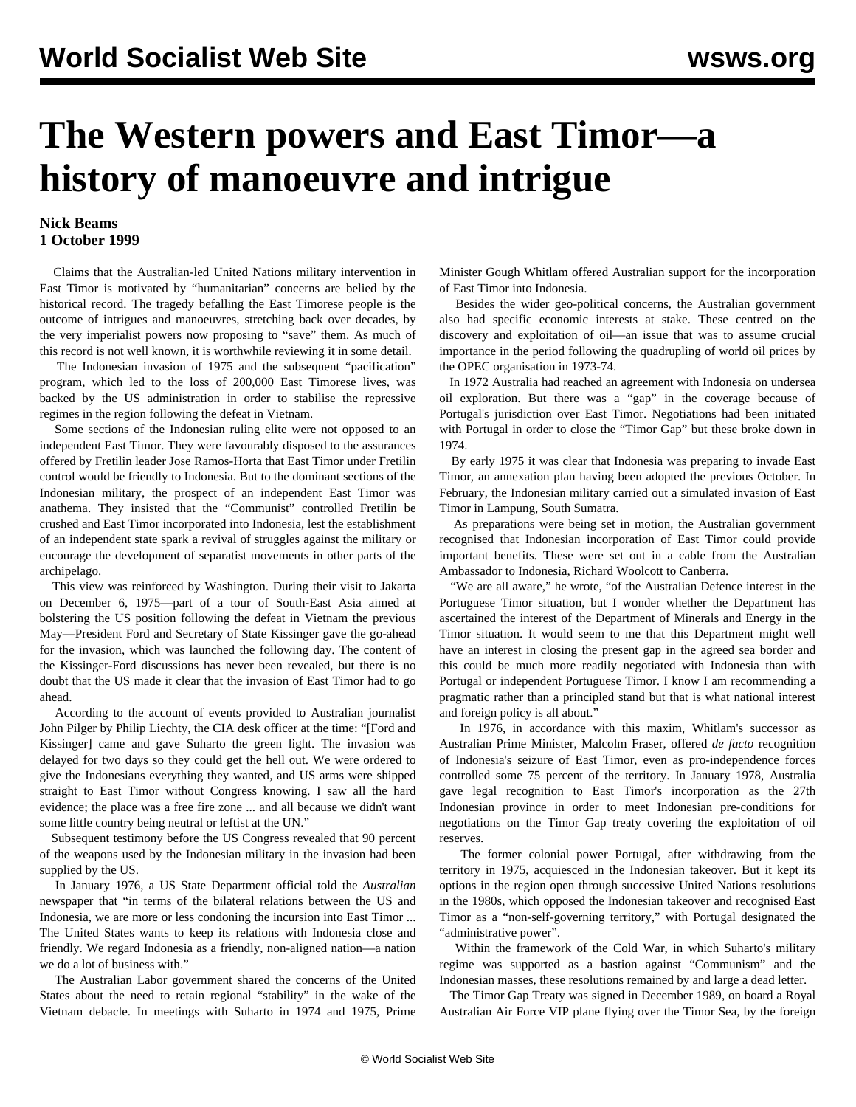## **The Western powers and East Timor—a history of manoeuvre and intrigue**

## **Nick Beams 1 October 1999**

 Claims that the Australian-led United Nations military intervention in East Timor is motivated by "humanitarian" concerns are belied by the historical record. The tragedy befalling the East Timorese people is the outcome of intrigues and manoeuvres, stretching back over decades, by the very imperialist powers now proposing to "save" them. As much of this record is not well known, it is worthwhile reviewing it in some detail.

 The Indonesian invasion of 1975 and the subsequent "pacification" program, which led to the loss of 200,000 East Timorese lives, was backed by the US administration in order to stabilise the repressive regimes in the region following the defeat in Vietnam.

 Some sections of the Indonesian ruling elite were not opposed to an independent East Timor. They were favourably disposed to the assurances offered by Fretilin leader Jose Ramos-Horta that East Timor under Fretilin control would be friendly to Indonesia. But to the dominant sections of the Indonesian military, the prospect of an independent East Timor was anathema. They insisted that the "Communist" controlled Fretilin be crushed and East Timor incorporated into Indonesia, lest the establishment of an independent state spark a revival of struggles against the military or encourage the development of separatist movements in other parts of the archipelago.

 This view was reinforced by Washington. During their visit to Jakarta on December 6, 1975—part of a tour of South-East Asia aimed at bolstering the US position following the defeat in Vietnam the previous May—President Ford and Secretary of State Kissinger gave the go-ahead for the invasion, which was launched the following day. The content of the Kissinger-Ford discussions has never been revealed, but there is no doubt that the US made it clear that the invasion of East Timor had to go ahead.

 According to the account of events provided to Australian journalist John Pilger by Philip Liechty, the CIA desk officer at the time: "[Ford and Kissinger] came and gave Suharto the green light. The invasion was delayed for two days so they could get the hell out. We were ordered to give the Indonesians everything they wanted, and US arms were shipped straight to East Timor without Congress knowing. I saw all the hard evidence; the place was a free fire zone ... and all because we didn't want some little country being neutral or leftist at the UN."

 Subsequent testimony before the US Congress revealed that 90 percent of the weapons used by the Indonesian military in the invasion had been supplied by the US.

 In January 1976, a US State Department official told the *Australian* newspaper that "in terms of the bilateral relations between the US and Indonesia, we are more or less condoning the incursion into East Timor ... The United States wants to keep its relations with Indonesia close and friendly. We regard Indonesia as a friendly, non-aligned nation—a nation we do a lot of business with."

 The Australian Labor government shared the concerns of the United States about the need to retain regional "stability" in the wake of the Vietnam debacle. In meetings with Suharto in 1974 and 1975, Prime Minister Gough Whitlam offered Australian support for the incorporation of East Timor into Indonesia.

 Besides the wider geo-political concerns, the Australian government also had specific economic interests at stake. These centred on the discovery and exploitation of oil—an issue that was to assume crucial importance in the period following the quadrupling of world oil prices by the OPEC organisation in 1973-74.

 In 1972 Australia had reached an agreement with Indonesia on undersea oil exploration. But there was a "gap" in the coverage because of Portugal's jurisdiction over East Timor. Negotiations had been initiated with Portugal in order to close the "Timor Gap" but these broke down in 1974.

 By early 1975 it was clear that Indonesia was preparing to invade East Timor, an annexation plan having been adopted the previous October. In February, the Indonesian military carried out a simulated invasion of East Timor in Lampung, South Sumatra.

 As preparations were being set in motion, the Australian government recognised that Indonesian incorporation of East Timor could provide important benefits. These were set out in a cable from the Australian Ambassador to Indonesia, Richard Woolcott to Canberra.

 "We are all aware," he wrote, "of the Australian Defence interest in the Portuguese Timor situation, but I wonder whether the Department has ascertained the interest of the Department of Minerals and Energy in the Timor situation. It would seem to me that this Department might well have an interest in closing the present gap in the agreed sea border and this could be much more readily negotiated with Indonesia than with Portugal or independent Portuguese Timor. I know I am recommending a pragmatic rather than a principled stand but that is what national interest and foreign policy is all about."

 In 1976, in accordance with this maxim, Whitlam's successor as Australian Prime Minister, Malcolm Fraser, offered *de facto* recognition of Indonesia's seizure of East Timor, even as pro-independence forces controlled some 75 percent of the territory. In January 1978, Australia gave legal recognition to East Timor's incorporation as the 27th Indonesian province in order to meet Indonesian pre-conditions for negotiations on the Timor Gap treaty covering the exploitation of oil reserves.

 The former colonial power Portugal, after withdrawing from the territory in 1975, acquiesced in the Indonesian takeover. But it kept its options in the region open through successive United Nations resolutions in the 1980s, which opposed the Indonesian takeover and recognised East Timor as a "non-self-governing territory," with Portugal designated the "administrative power".

 Within the framework of the Cold War, in which Suharto's military regime was supported as a bastion against "Communism" and the Indonesian masses, these resolutions remained by and large a dead letter.

 The Timor Gap Treaty was signed in December 1989, on board a Royal Australian Air Force VIP plane flying over the Timor Sea, by the foreign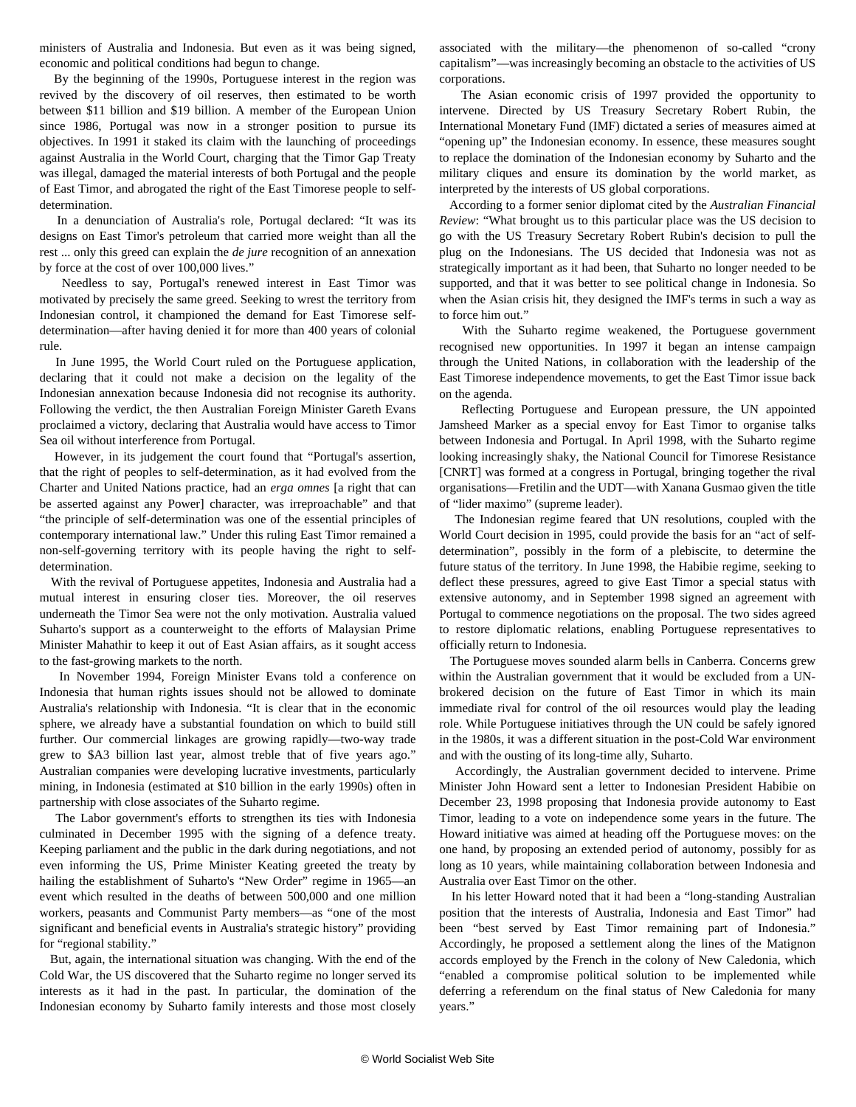ministers of Australia and Indonesia. But even as it was being signed, economic and political conditions had begun to change.

 By the beginning of the 1990s, Portuguese interest in the region was revived by the discovery of oil reserves, then estimated to be worth between \$11 billion and \$19 billion. A member of the European Union since 1986, Portugal was now in a stronger position to pursue its objectives. In 1991 it staked its claim with the launching of proceedings against Australia in the World Court, charging that the Timor Gap Treaty was illegal, damaged the material interests of both Portugal and the people of East Timor, and abrogated the right of the East Timorese people to selfdetermination.

 In a denunciation of Australia's role, Portugal declared: "It was its designs on East Timor's petroleum that carried more weight than all the rest ... only this greed can explain the *de jure* recognition of an annexation by force at the cost of over 100,000 lives."

 Needless to say, Portugal's renewed interest in East Timor was motivated by precisely the same greed. Seeking to wrest the territory from Indonesian control, it championed the demand for East Timorese selfdetermination—after having denied it for more than 400 years of colonial rule.

 In June 1995, the World Court ruled on the Portuguese application, declaring that it could not make a decision on the legality of the Indonesian annexation because Indonesia did not recognise its authority. Following the verdict, the then Australian Foreign Minister Gareth Evans proclaimed a victory, declaring that Australia would have access to Timor Sea oil without interference from Portugal.

 However, in its judgement the court found that "Portugal's assertion, that the right of peoples to self-determination, as it had evolved from the Charter and United Nations practice, had an *erga omnes* [a right that can be asserted against any Power] character, was irreproachable" and that "the principle of self-determination was one of the essential principles of contemporary international law." Under this ruling East Timor remained a non-self-governing territory with its people having the right to selfdetermination.

 With the revival of Portuguese appetites, Indonesia and Australia had a mutual interest in ensuring closer ties. Moreover, the oil reserves underneath the Timor Sea were not the only motivation. Australia valued Suharto's support as a counterweight to the efforts of Malaysian Prime Minister Mahathir to keep it out of East Asian affairs, as it sought access to the fast-growing markets to the north.

 In November 1994, Foreign Minister Evans told a conference on Indonesia that human rights issues should not be allowed to dominate Australia's relationship with Indonesia. "It is clear that in the economic sphere, we already have a substantial foundation on which to build still further. Our commercial linkages are growing rapidly—two-way trade grew to \$A3 billion last year, almost treble that of five years ago." Australian companies were developing lucrative investments, particularly mining, in Indonesia (estimated at \$10 billion in the early 1990s) often in partnership with close associates of the Suharto regime.

 The Labor government's efforts to strengthen its ties with Indonesia culminated in December 1995 with the signing of a defence treaty. Keeping parliament and the public in the dark during negotiations, and not even informing the US, Prime Minister Keating greeted the treaty by hailing the establishment of Suharto's "New Order" regime in 1965—an event which resulted in the deaths of between 500,000 and one million workers, peasants and Communist Party members—as "one of the most significant and beneficial events in Australia's strategic history" providing for "regional stability."

 But, again, the international situation was changing. With the end of the Cold War, the US discovered that the Suharto regime no longer served its interests as it had in the past. In particular, the domination of the Indonesian economy by Suharto family interests and those most closely associated with the military—the phenomenon of so-called "crony capitalism"—was increasingly becoming an obstacle to the activities of US corporations.

 The Asian economic crisis of 1997 provided the opportunity to intervene. Directed by US Treasury Secretary Robert Rubin, the International Monetary Fund (IMF) dictated a series of measures aimed at "opening up" the Indonesian economy. In essence, these measures sought to replace the domination of the Indonesian economy by Suharto and the military cliques and ensure its domination by the world market, as interpreted by the interests of US global corporations.

 According to a former senior diplomat cited by the *Australian Financial Review*: "What brought us to this particular place was the US decision to go with the US Treasury Secretary Robert Rubin's decision to pull the plug on the Indonesians. The US decided that Indonesia was not as strategically important as it had been, that Suharto no longer needed to be supported, and that it was better to see political change in Indonesia. So when the Asian crisis hit, they designed the IMF's terms in such a way as to force him out."

 With the Suharto regime weakened, the Portuguese government recognised new opportunities. In 1997 it began an intense campaign through the United Nations, in collaboration with the leadership of the East Timorese independence movements, to get the East Timor issue back on the agenda.

 Reflecting Portuguese and European pressure, the UN appointed Jamsheed Marker as a special envoy for East Timor to organise talks between Indonesia and Portugal. In April 1998, with the Suharto regime looking increasingly shaky, the National Council for Timorese Resistance [CNRT] was formed at a congress in Portugal, bringing together the rival organisations—Fretilin and the UDT—with Xanana Gusmao given the title of "lider maximo" (supreme leader).

 The Indonesian regime feared that UN resolutions, coupled with the World Court decision in 1995, could provide the basis for an "act of selfdetermination", possibly in the form of a plebiscite, to determine the future status of the territory. In June 1998, the Habibie regime, seeking to deflect these pressures, agreed to give East Timor a special status with extensive autonomy, and in September 1998 signed an agreement with Portugal to commence negotiations on the proposal. The two sides agreed to restore diplomatic relations, enabling Portuguese representatives to officially return to Indonesia.

 The Portuguese moves sounded alarm bells in Canberra. Concerns grew within the Australian government that it would be excluded from a UNbrokered decision on the future of East Timor in which its main immediate rival for control of the oil resources would play the leading role. While Portuguese initiatives through the UN could be safely ignored in the 1980s, it was a different situation in the post-Cold War environment and with the ousting of its long-time ally, Suharto.

 Accordingly, the Australian government decided to intervene. Prime Minister John Howard sent a letter to Indonesian President Habibie on December 23, 1998 proposing that Indonesia provide autonomy to East Timor, leading to a vote on independence some years in the future. The Howard initiative was aimed at heading off the Portuguese moves: on the one hand, by proposing an extended period of autonomy, possibly for as long as 10 years, while maintaining collaboration between Indonesia and Australia over East Timor on the other.

 In his letter Howard noted that it had been a "long-standing Australian position that the interests of Australia, Indonesia and East Timor" had been "best served by East Timor remaining part of Indonesia." Accordingly, he proposed a settlement along the lines of the Matignon accords employed by the French in the colony of New Caledonia, which "enabled a compromise political solution to be implemented while deferring a referendum on the final status of New Caledonia for many years."